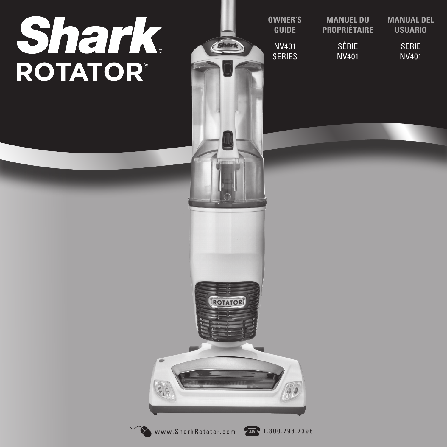# **Shark**<br>ROTATOR®



| MANUEL DU           | <b>MANUAL DEL</b> |
|---------------------|-------------------|
| <b>PROPRIÉTAIRE</b> | <b>USUARIO</b>    |
| <b>SÉRIE</b>        | SERIE             |
| NV401               | 'NV401            |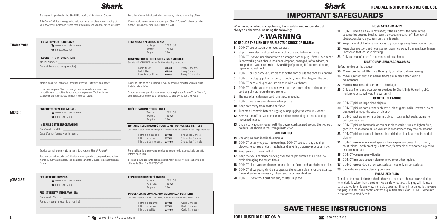# **Shark**

Thank you for purchasing the Shark® Rotator® Upright Vacuum Cleaner.

This Owner's Guide is designed to help you get a complete understanding of your new vacuum cleaner. Please read it carefully and keep for future reference. For a list of what is included with this model, refer to inside flap of box.

If you should have a question about your Shark® Rotator®, please call the Shark® Customer service line at 800-798-7398.

| THANK YOU!    | <b>REGISTER YOUR PURCHASE:</b><br>www.sharkrotator.com<br>$\bullet$ 1.800.798.7398<br><b>RECORD THIS INFORMATION:</b><br>Model Number:<br>Date of Purchase (Keep receipt):                                                                                                                             | <b>TECHNICAL SPECIFICATIONS:</b><br>Voltage:<br>120V., 60Hz<br>Watts:<br>1200W<br>10A<br>Amps:<br>RECOMMENDED FILTER CLEANING SCHEDULE:<br>See the MAINTENANCE section for filter cleaning instructions<br>Foam filter:<br>Every 3 months<br><b>XFF400</b><br>Felt Filter:<br>Every 3 months<br><b>XFF400</b><br>Post-Motor Filter:<br>Every 12 months<br><b>XFH400</b> | <b>TO REDUCE THE</b><br>DO NOT use<br>1<br>2<br>Unplug from<br>DO NOT use<br>3<br>is not workin<br>dropped into<br>repair, or adj<br>DO NOT pull<br>4<br>DO NOT unp<br>5 |
|---------------|--------------------------------------------------------------------------------------------------------------------------------------------------------------------------------------------------------------------------------------------------------------------------------------------------------|-------------------------------------------------------------------------------------------------------------------------------------------------------------------------------------------------------------------------------------------------------------------------------------------------------------------------------------------------------------------------|--------------------------------------------------------------------------------------------------------------------------------------------------------------------------|
|               | Merci d'avoir fait l'achat de l'aspirateur vertical Rotator <sup>MD</sup> de Shark <sup>MD</sup> .<br>Ce manuel du propriétaire est conçu pour vous aider à obtenir une<br>compréhension complète de votre nouvel aspirateur. Veuillez le lire<br>attentivement et conservez-le pour référence future. | Pour une liste de ce qui est inclus avec ce modèle, reportez-vous au rabat<br>intérieur de la boîte.<br>Si vous avez une question concernant votre aspirateur Rotator <sup>MD</sup> de Shark <sup>MD</sup> ,<br>veuillez appeler le service à la clientèle de Shark <sup>MD</sup> au 800-798-7398.                                                                      | DO NOT han<br>6<br>DO NOT run<br>7<br>cord or pull o<br>The use of a<br>8<br>DO NOT leav<br>9                                                                            |
| <b>MERCI!</b> | <b>ENREGISTRER VOTRE ACHAT:</b><br>$\infty$ www.sharkrotator.com<br>28 1.800.798.7398                                                                                                                                                                                                                  | <b>SPÉCIFICATIONS TECHNIQUES:</b><br>120V., 60Hz<br>Tension:<br>Watts:<br>1200W<br>Ampères :<br>10A                                                                                                                                                                                                                                                                     | 10 Keep cord av<br>11 Turn off all c<br>12 Always turn<br>motorized no                                                                                                   |
|               | <b>INSCRIRE CETTE INFORMATION:</b><br>Numéro de modèle : _<br>Date d'achat (conservez le reçu) :                                                                                                                                                                                                       | <b>HORAIRE RECOMMANDÉ POUR LE NETTOYAGE DES FILTRES :</b><br>Consultez la section ENTRETIEN pour les instructions concernant le nettoyage des filtres<br>Filtre en mousse :<br>à tous les 3 mois<br><b>XFF400</b><br>Filtre en feutre :<br><b>XFF400</b><br>à tous les 3 mois<br>Filtre après-moteur : XFH400<br>à tous les 12 mois                                     | 13 Store your va<br>holders - as :<br><b>14</b> Use only as o<br>15 DO NOT put<br>blocked; kee                                                                           |
|               | Gracias por haber comprado la aspiradora vertical Shark® Rotator®.<br>Este manual del usuario está diseñado para ayudarle a comprender completa-<br>mente su nueva aspiradora. Léalo cuidadosamente y guárdelo para referencia<br>futura.                                                              | Por una lista de lo que viene incluido con este modelo, consulte la pestaña<br>interna de la caja.<br>Si tiene alguna pregunta acerca de su Shark® Rotator®, llame a Servicio al<br>cliente de Shark® al 800-798-7398.                                                                                                                                                  | 16 Keep your w<br><b>17</b> Keep the vac<br>avoid damag<br>18 DO NOT plac<br>19 DO NOT allo                                                                              |
| ¡GRACIAS!     | <b>REGISTRE SU COMPRA:</b><br>www.sharkrotator.com<br>1.800.798.7398                                                                                                                                                                                                                                   | <b>ESPECIFICACIONES TÉCNICAS:</b><br>120V., 60Hz<br>Voltaje:<br>1200W<br>Potencia:<br>Amperes:<br>10A                                                                                                                                                                                                                                                                   | Close attenti<br><b>20</b> DO NOT use                                                                                                                                    |
|               | <b>REGISTRE ESTA INFORMACIÓN:</b><br>Número de Modelo:<br>Fecha de compra (guarde el recibo):                                                                                                                                                                                                          | PROGRAMA RECOMENDADO DE LIMPIEZA DEL FILTRO:<br>Consulte la sección MANTENIMIENTO por instrucciones de limpieza del filtro<br>Cada 3 meses<br>Filtro de espuma:<br><b>XFF400</b><br>Filtro de fieltro:<br>Cada 3 meses<br><b>XFF400</b><br>Filtro de salida:<br>Cada 12 meses<br><b>XFH400</b>                                                                          |                                                                                                                                                                          |

- **14** Use only as described in this manual.
- any objects into openings. DO NOT use with any opening ep free of dust, lint, hair, and anything that may reduce air flow.
- **16** There well lit.

- **17** Keep the vacuum cleaner moving over the carpet surface at all times to ing the carpet fibers.
- **18** De vacuum cleaner on unstable surfaces such as chairs or tables. **37** DO NOT use outdoors or on wet surfaces; use only on dry surfaces.
- w young children to operate the vacuum cleaner or use as a toy. ion is necessary when used by or near children.
- without dust cup and/or filters in place.
- **21** DO NOT use if air flow is restricted; if the air paths, the hose, or the accessories become blocked, turn the vacuum cleaner off. Remove all obstructions before you turn on the unit again.
- **22** Keep the end of the hose and accessory openings away from face and body.
- **23** Keep cleaning tools and hose suction openings away from hair, face, fingers, uncovered feet, or loose clothing.
- **24** Only use manufacturer's recommended attachments.

- **25** Make sure that all filters are thoroughly dry after routine cleaning.
- **26** Make sure that dust cup and all filters are in place after routine maintenance.
- **27** Make sure accessories are free of blockages.
- **28** Only use filters and accessories provided by SharkNinja Operating LLC. [Failure to do so will void the warranty.]
- outdoors or on wet surfaces.
- **2** electrical outlet when not in use and before servicing.
- vacuum cleaner with a damaged cord or plug. If vacuum cleaner ig as it should, has been dropped, damaged, left outdoors, or water, return it to SharkNinia Operating LLC for examination. ristment
- **4**  $\alpha$  D  $\alpha$  D  $\alpha$  D  $\alpha$  are cord or use the cord as a handle.
- lug by pulling on cord; to unplug, grasp the plug, not the cord.
- dle plug or vacuum cleaner with wet hands.
- the vacuum cleaner over the power cord, close a door on the cord around sharp corners.
- **8** The use of an extension cord is not recommended.
- $\nu$ e vacuum cleaner when plugged in.
- *Nav from heated surfaces.*
- ontrols before plugging or unplugging the vacuum cleaner.
- off the vacuum cleaner before connecting or disconnecting pzzle.
- **1** A storm of earner with the power cord secured around the two cord shown in the storage instructions. **32** DO NOT pick up flammable or combustible materials such as lighter fluid. gasoline, or kerosene or use vacuum in areas where they may be present.

When using an electrical appliance, basic safety precautions should always be observed, including the following:

# **AWARNING**

# **RISK OF FIRE, ELECTRIC SHOCK OR INJURY:**

# **GENERAL USE**

# IMPORTANT SAFEGUARDS

**Shark** 

# **HOSE ATTACHMENTS**

# **DUST CUP/FILTERS/ACCESSORIES**

Before turning on the vacuum:

# **GENERAL CLEANING**

- **29** DO NOT pick up large-sized objects.
- **30** DO NOT pick up hard or sharp objects such as glass, nails, screws or coins that could damage the vacuum cleaner.
- **31** DO NOT pick up smoking or burning objects such as hot coals, cigarette butts, or matches.
- **33** DO NOT pick up toxic solutions such as chlorine bleach, ammonia, or drain cleaner.
- **34** DO NOT use in an enclosed space where vapors are present from paint, paint thinner, moth-proofing substances, flammable dust or other explosive or toxic materials.
- **35** DO NOT vacuum up any liquids.
- **36** DO NOT immerse vacuum cleaner in water or other liquids.
- **38** Use extra care when cleaning on stairs.

# **POLARIZED PLUG**

To reduce the risk of electric shock, this vacuum cleaner has a polarized plug (one blade is wider than the other). As a safety feature, this plug will fit into a polarized outlet only one way. If the plug does not fit fully into the outlet, reverse the plug. If it still does not fit, contact a qualified electrician. DO NOT force into outlet or try to modify to fit.

**FOR HOUSEHOLD USE ONLY**

**READ ALL INSTRUCTIONS BEFORE USE**

# SAVE THESE INSTRUCTIONS

**2** www.SharkRotator.com **800.798.7398 FOR HOUSEHOLD USE ONLY 300.798.7398**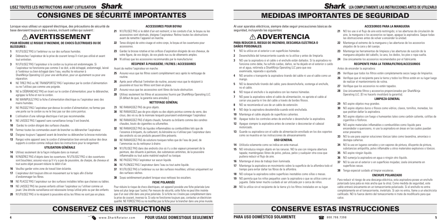Al usar aparatos eléctricos, siempre debe seguir precauciones básicas de seguridad, incluyendo las siguientes:

# **ADVERTENCIA**

# **PARA REDUCIR EL RIESGO DE INCENDIO, DESCARGA ELÉCTRICA O DAÑOS PERSONALES:**

- **1** NO la utilice en el exterior o en superficies húmedas.
- **2** Desenchúfela del tomacorriente cuando no la utilice y antes de limpiarla.
- **3** NO use la aspiradora si el cable o el enchufe están dañados. Si la aspiradora no funciona como debe, ha sufrido caídas, daños, se ha dejado en el exterior o caído en el agua, retórnela a SharkNinja Operating LLC para que sea examinada, reparada o ajustada.
- **4** NO arrastre o transporte la aspiradora tirando del cable ni use el cable como un mango.
- **5** NO la desenchufe tirando del cable; para desenchufarla, sostenga el enchufe, no el cable.
- **6** NO toque el enchufe o la aspiradora con las manos húmedas.
- **7** NO pase la aspiradora sobre el cable de alimentación, no apriete el cable al cerrar una puerta ni tire del cable a través de bordes filosos.
- **8** NO se recomienda el uso de un cable de extensión.
- **9** NO deje la aspiradora desatendida cuando esté enchufada.
- **10** Mantenga el cable alejado de superficies calientes.
- **11** Apague todos los controles antes de enchufar o desenchufar la aspiradora.
- **12** Apague siempre la aspiradora antes de conectar o desconectar el cabezal motorizado.
- **13** Guarde su aspiradora con el cable de alimentación enrollado en los dos soportes como se muestra en las instrucciones de almacenamiento

# **USO GENERAL**

- **14** Utilícela solamente como se indica en este manual.
- **15** NO introduzca ningún objeto en las ranuras. NO la use con ninguna abertura tapada; manténgalas libres de polvo, pelusa, pelos y cualquier otra cosa que pudiera reducir el flujo de aire.
- **16** Mantenga el área de trabajo bien iluminada.
- **17** Mantenga la aspiradora en movimiento sobre la superficie de la alfombra todo el tiempo para evitar dañar las fibras de la alfombra.
- **18** NO coloque la aspiradora sobre superficies inestables como sillas o mesas.
- **19** NO permita que los niños pequeños usen la aspiradora o que se utilice como un juguete. Debe tener mucho cuidado al ser utilizada por o cerca de niños.
- **20** NO la utilice sin el recipiente de la tierra y/o los filtros instalados en su lugar.
- **29** NO aspire objetos muy grandes.
- **30** NO aspire objetos duros o filosos como vidrios, clavos, tornillos, monedas, los que podrían dañar la aspiradora.
- **31** NO aspire objetos con fuego o humeantes tales como carbón caliente, colillas de cigarrillos o fósforos.
- **32** NO aspire materiales inflamables o combustibles como líquido para encendedor o queroseno, ni use la aspiradora en áreas en las cuales puedan estar presentes.
- **33** NO la use para aspirar soluciones tóxicas tales como lavandina, amoníaco o destapa cañerías.
- **34** NO la use en lugares cerrados y con vapores de pintura, diluyente de pintura, substancias antipolilla, polvo inflamable u otros materiales explosivos o tóxicos.
- **35** NO aspire ningún líquido.
- **36** NO sumerja la aspiradora en agua o ningún otro líquido.
- **37** NO la use en el exterior o en superficies mojadas; úsela únicamente en superficies secas.
- **38** Tenga especial cuidado al limpiar escaleras.

# MEDIDAS IMPORTANTES DE SEGURIDAD

# **ACCESORIOS PARA LA MANGUERA**

- **21** NO los use si el flujo de aire está restringido; si las aberturas de circulación de aire, la manguera o los accesorios se tapan, apague la aspiradora. Saque todas las obstrucciones antes de volver a encender la unidad.
- **22** Mantenga el extremo de la manguera y las aberturas de los accesorios alejados de la cara y del cuerpo.
- **23** Mantenga las herramientas de limpieza y las aberturas de succión de la manguera alejados del cabello, la cara, los dedos, los pies o ropa suelta.
- **24** Use únicamente los accesorios recomendados por el fabricante.

# **RECIPIENTE PARA LA TIERRA/FILTROS/ACCESORIOS**

Antes de encender la aspiradora:

- **25** Verifique que todos los filtros estén completamente secos luego de limpiarlos.
- **26** Verifique que el recipiente para la tierra y todos los filtros estén en su lugar luego de realizar el mantenimiento de rutina.
- **27** Verifique que los accesorios no estén tapados.
- **28** Use únicamente filtros y accesorios proporcionados por SharkNinja Operating LLC. [El no hacerlo invalidará la garantía].

# **LIMPIEZA GENERAL**

- 21 N'UTILISEZ PAS si le débit d'air est restreint; si les conduits d'air, le boyau ou les accessoires sont obstrués, éteignez l'aspirateur. Retirez toutes les obstructions avant de remettre l'appareil en marche.
- **22** Tenez éloigné de votre visage et votre corps, le boyau et les ouvertures pour accessoires.
- **23** Gardez la brosse rotative et les orifices d'aspiration éloignés de vos cheveux, de votre figure, de vos doigts, de vos pieds nus ou de vêtements amples.
- **24** N'utilisez que les accessoires recommandés par le manufacturier.

# **ENCHUFE POLARIZADO**

Para reducir el riesgo de una descarga eléctrica, esta aspiradora posee un enchufe polarizado (una pata es más ancha que la otra). Como medida de seguridad, este cable entrará únicamente en un tomacorriente polarizado. Si el enchufe no entra completamente en el tomacorriente, inviértalo. Si aún no entra, llame a un electricista calificado. NO lo fuerce dentro del tomacorriente ni trate de modificarlo para que calce.

**PARA USO DOMÉSTICO SOLAMENTE**

Lorsque vous utilisez un appareil électrique, des précautions de sécurité de base devraient toujours être suivies, incluant celles qui suivent :

# **AVERTISSEMENT**

# **POUR RÉDUIRE LE RISQUE D'INCENDIE, DE CHOCS ÉLECTRIQUES OU DE BLESSURES :**

- **1** N'UTILISEZ PAS à l'extérieur ou sur des surfaces humides.
- **2** Débranchez l'aspirateur de la prise de courant lorsqu'il n'est pas utilisé et avant tout entretien.
- **3** N'UTILISEZ PAS l'aspirateur si le cordon ou la prise est endommagée. Si l'aspirateur ne fonctionne pas comme il se doit, a été échappé, endommagé, laissé à l'extérieur ou bien échappé dans l'eau, veuillez le retourner à SharkNinja Operating LLC pour une vérification, pour un ajustement ou pour une réparation.
- **4** NE TIREZ PAS ou NE TRANSPORTEZ PAS l'aspirateur par le cordon d'alimentation ou ne l'utilisez pas comme une poignée.
- **5** NE le DÉBRANCHEZ PAS en tirant sur le cordon d'alimentation; pour le débrancher, agrippez la fiche et non le cordon.
- **6** NE MANIPULEZ PAS la fiche d'alimentation électrique ou l'aspirateur avec des mains humides.
- **7** NE PASSEZ PAS l'aspirateur par-dessus le cordon d'alimentation; ne fermez pas une porte sur le cordon ou ne le tirez pas sur des coins pointus.
- **8** L'utilisation d'une rallonge électrique n'est pas recommandée.
- **9** NE LAISSEZ PAS l'appareil sans surveillance lorsqu'il est branché.
- **10** Gardez le cordon éloigné des surfaces chaudes.
- **11** Fermez toutes les commandes avant de brancher ou débrancher l'aspirateur.
- **12** Éteignez toujours l'appareil avant de brancher ou débrancher la brosse motorisée.
- **13** Rangez votre appareil avec le cordon d'alimentation bien enroulé autour des deux supports à cordon comme indiqué dans les instructions pour le rangement.

# **UTILISATION GÉNÉRALE**

- **14** Utilisez seulement de la façon indiquée dans ce manuel.
- **15** N'INSÉREZ PAS d'objets dans les ouvertures. N'UTILISEZ PAS si des ouvertures sont bouchées; assurez-vous qu'il n'y a pas de poussière, de charpie, de cheveux et tout autre objet pouvant réduire le débit d'air.
- **16** Veuillez garder votre zone de travail bien éclairée.
- **17** L'aspirateur doit toujours être en mouvement sur le tapis afin d'éviter d'endommager les fibres.
- **18** NE PLACEZ PAS l'aspirateur sur des surfaces instables telles que chaises ou tables.
- **19** NE LAISSEZ PAS les jeunes enfants utiliser l'aspirateur ou l'utiliser comme un jouet. Une étroite surveillance est nécessaire lorsqu'utilisé près ou par des enfants.
- **20** N'UTILISEZ PAS si le récipient à poussière et/ou les filtres ne sont pas en place.

# CONSIGNES DE SÉCURITÉ IMPORTANTES

# CONSERVEZ CES INSTRUCTIONS CONSERVE ESTAS INSTRUCCIONES



**LEA COMPLETAMENTE LAS INSTRUCCIONES ANTES DE UTILIZARLO** 

# **ACCESSOIRES POUR BOYAU**

# **RÉCIPIENT À POUSSIÈRE / FILTRES / ACCESSOIRES**

Avant de mettre l'aspirateur en marche :

- **25** Assurez-vous que les filtres soient complètement secs après le nettoyage de routine.
- **26** Après avoir effectué l'entretien de routine, assurez-vous que le récipient à poussière et tous les filtres sont bien en place.
- 27 Assurez-vous que les accessoires sont libres de toute obstruction.
- **28** Utilisez seulement les filtres et accessoires fournis par SharkNinja Operating LLC. [À défaut de quoi, la garantie sera annulée.]

# **NETTOYAGE GÉNÉRAL**

- 29 NE RAMASSEZ PAS de gros objets.
- **30** NE RAMASSEZ pas de gros objets ou des objets pointus comme du verre, des clous, des vis ou de la monnaie lesquels pourraient endommager l'aspirateur.
- **31** NE RAMASSEZ PAS d'objets chauds, fumants ou brûlants comme des cendres chaudes, bouts de cigarettes ou allumettes.
- **32** NE RAMASSEZ PAS de liquides inflammables ou combustibles tels que de l'essence à briquets, du carburant, du kérosène ou n'utilisez pas l'aspirateur dans des endroits où ces produits peuvent être présents.
- **33** NE RAMASSEZ PAS de solutions toxiques telles que de l'eau de javel, de l'ammoniac ou du nettoyeur à drains
- **34** N'UTILISEZ PAS dans des endroits clos où il y a des vapeurs provenant de la peinture, des diluants à peinture, des substances antimites, de la poussière inflammable ou tout autre matériel explosif ou toxique.
- **35** NE PASSEZ PAS l'aspirateur sur aucun liquide.
- **36** NE PLONGEZ PAS l'aspirateur dans l'eau ou tout autre liquide.
- **37** N'UTILISEZ PAS à l'extérieur ou sur des surfaces mouillées; utilisez uniquement sur des surfaces sèches.
- **38** Soyez extrêmement prudent lorsque vous nettoyez les escaliers.

# **FICHE POLARISÉE**

Pour réduire le risque de chocs électriques, cet appareil possède une fiche polarisée (une lame est plus large que l'autre). Par mesure de sécurité, cette fiche ne peut être insérée que d'un seul côté dans une prise polarisée. Si la fiche ne s'insère pas complètement dans la prise de courant, inversez-la. Si cela ne fonctionne toujours pas, contactez un électricien qualifié. NE FORCEZ PAS ou ne modifiez pas la fiche pour la brancher dans une prise murale.

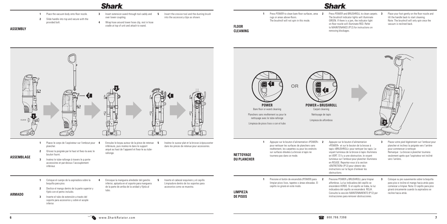**ASSEMBLY**



- **1** Place the vacuum body onto floor nozzle.
- **2** Slide handle into top and secure with the provided bolt.
- **3** Insert extension wand through tool caddy and **5** over lower coupling.
- **5** Insert the crevice tool and the dusting brush into the accessory clips as shown.
- **4** Wrap hose around lower hose clip, rest in hose cradle at top of unit and attach to wand.
- 
- **1** Press POWER to clean bare floor surfaces, area **2** rugs or areas above-floors. The brushroll will not spin in this mode.
- Press POWER and BRUSHROLL to clean carpets. 3 The brushroll indicator lights will illuminate GREEN. If there is a jam, the indicator light on floor nozzle will illuminate RED. Refer to MAINTENANCE (P12) for instructions on removing blockages.
- **3** Place your foot gently on the floor nozzle and tilt the handle back to start cleaning. Note: The brushroll will only spin once the vacuum is reclined back.

soporte para accesorios y sobre el acople

inferior.

**FLOOR CLEANING**

**DE PISOS**



**2** Appuyez sur le bouton d'alimentation «POWER» et sur le bouton de la brosse à tapis «BRUSHROLL» pour nettoyer les tapis. Le voyant lumineux de la brosse à tapis illuminera en VERT. S'il y a une obstruction, le voyant lumineux sur l'embout pour plancher illuminera en ROUGE. Reportez-vous à la section «ENTRETIEN» (P12) pour obtenir des instructions sur la façon d'enlever les



**3** Placez votre pied légèrement sur l'embout pour plancher et inclinez la poignée vers l'arrière pour commencer à nettoyer. Remarque : La brosse à plancher tournera seulement après que l'aspirateur est incliné

vers l'arrière..

**2** Presione POWER y BRUSHROLL para limpiar alfombras. La luz indicadora del cepillo se encenderá VERDE. Si el cepillo se traba, la luz indicadora del cepillo se encenderá ROJA. Consulte la sección MANTENIMIENTO (P12) por instrucciones para remover obstrucciones.

**3** Coloque su pie suavemente sobre la boquilla para piso e incline el mango hacia atrás para comenzar a limpiar. Nota: El cepillo para piso girará únicamente cuando la aspiradora se

recline hacia atrás.

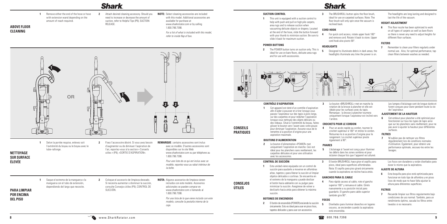**ABOVE FLOOR CLEANING**





- **1** Remove either the end of the hose or hose with extension wand depending on the amount of reach required.
- **2** Attach desired cleaning accessory. Should you need to increase or decrease the amount of suction, refer to Helpful Tips (P9), SUCTION RELEASE.
- **NOTE:** Select cleaning accessories are included with this model. Additional accessories are available for purchase at www.sharkrotator.com or by calling 1.800.798.7398.

 *For a list of what is included with this model, refer to inside flap of box.*

**1** This unit is equipped with a suction control to help with push and pull on high pile carpets, area rugs and to release suction when vacuuming delicate objects or drapery. Located at the end of the hose, slide the button forward with your thumb to minimize suction. Be sure to slide it back for maximum suction.

**3** The BRUSHROLL button spins the floor brush, ideal for use on carpeted surfaces. Note: The floor brush will only spin once the vacuum is reclined back.

**6** This floor nozzle has been optimized to work on all types of carpets as well as bare floors so there is never any need to adjust heights for different floor surfaces.

**7** Remember to clean your filters regularly under normal use. Also, for optimal performance, tap clean filters between washes as needed.

### **SUCTION CONTROL**

### **POWER BUTTONS**

**7** Recuerde limpiar sus filtros regularmente bajo condiciones de uso normal. También, para un rendimiento óptimo, sacuda los filtros entre lavados si es necesario.

# **CORD HOOK**

- -

**4** For quick cord access, rotate upper hook 180° and remove cord. Rotate it back to store. Upper cord hook also pivots 90°.

**5** Designed to illuminate debris in dark areas, the headlights illuminate any time the power is on.

The headlights are long-lasting and designed to last the life of the vacuum.

# **HEIGHT ADJUSTMENT**

### **FILTERS**

### **CONTROL DE SUCCIÓN**

**6** Cet embout pour plancher a été optimisé pour fonctionner sur tous les types de tapis ainsi que sur les planchers sans revêtement, pour ne pas avoir à ajuster la hauteur pour différentes surfaces.

- **1** Esta unidad viene equipada con un control de succión para ayudarle a moverse en alfombras altas, tapetes y para liberar la succión al limpiar objetos delicados o cortinas. Se encuentra en el extremo de la manguera y puede deslizar
	- el botón hacia adelante con su pulgar para minimizar la succión. Asegúrese de volver a deslizarlo hacia atrás para obtener la máxima succión.



# **BOTONES DE ENCENDIDO**

**2** El botón de encendido (POWER) enciende la succión únicamente. Esto es ideal para usar en pisos lisos, tapetes delicados y para usar con accesorios.

**3** El botón BRUSHROLL hace girar el cepillo para pisos, ideal para superficies alfombradas. Nota: El cepillo para piso girará únicamente cuando la aspiradora se recline hacia atrás.

# **GANCHOS PARA EL CABLE**

**4** Para rápido acceso al cable, rote el gancho superior 180° y remueva el cable. Gírelo nuevamente a su posición inicial para guardarlo. El gancho pare cable superior también gira 90°.

# **FOCOS**

**5** Diseñados para iluminar desechos en lugares oscuros, se encienden cuando la aspiradora

está encendida.

 Los focos son duraderos y están diseñados para durar lo mismo que la aspiradora.

### **AJUSTE DE ALTURA**

- **2** The POWER button turns on suction only. This is ideal for use on bare floors, delicate area rugs and for use with accessories.
- **HEADLIGHTS**
- **2 3 5 5 5 6 5 5 5 5 5 4**
	-

**6** Esta boquilla para piso está optimizada para funcionar en todo tipo de alfombra y en pisos lisos de modo que no hace falta ajustar la altura para diferentes superficies.

### **FILTROS**

### **CONTRÔLE D'ASPIRATION**

**1** Cet appareil est doté d'un contrôle d'aspiration afin d'aider à pousser et à tirer lorsque vous passez l'aspirateur sur des tapis à poils longs, sur des carpettes et pour relâcher l'aspiration lorsque vous nettoyez des objets délicats ou des rideaux. Situé à l'extrémité du boyau, faites glisser le bouton vers l'avant avec votre pouce pour diminuer l'aspiration. Assurez-vous de le remettre à la position d'origine pour une aspiration maximale.

### **BOUTONS D'ALIMENTATION**

**2** Le bouton d'alimentation «POWER» met uniquement l'aspiration en marche. Ceci est idéal pour les planchers sans revêtement, les carpettes délicates et pour une utilisation avec les accessoires.

**3** Le bouton «BRUSHROLL» met en marche la rotation de la brosse à plancher et elle est idéale pour les surfaces avec du tapis. Remarque : la brosse à plancher tournera uniquement lorsque l'aspirateur est incliné vers

- l'arrière.
- 

# **CROCHETS POUR LE CORDON**

**4** Pour un accès rapide au cordon, tournez le crochet supérieur à 180° et retirez le cordon. Retournez-le à sa position d'origine pour le rangement. Le crochet supérieur pivote également à 90°.

**PHARES**

**5** L'éclairage à l'avant est conçu pour illuminer les débris dans les zones sombres et pour éclairer chaque fois que l'appareil est allumé. Les lampes d'éclairage sont de longue durée et furent conçues pour durer pendant toute la vie de l'aspirateur.

### **AJUSTEMENT DE LA HAUTEUR**

### **FILTRES**

**7** N'oubliez pas de nettoyer vos filtres régulièrement lors de conditions normales d'utilisation. Également, pour obtenir une performance optimale, secouez-les entre les lavages.

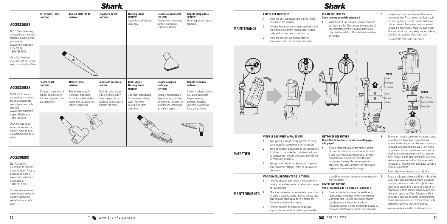

**5** Remove and rinse the nst-motor filter frame once every year. First, remove the floor nozzle by pressing the red nozzle release button on back of vacuum. Rotate counter-clockwise to release the filter frame. Rinse the post-motor filter and let air dry completely before replacing back into the vacuum. Hand wash only. Re-assemble back on to floor nozzle.



# **See cleaning schedule on page 2**

**4** With the dust cup removed, remove and rinse the foam and felt filters every 3 months. Let air dry completely before replacing. Hand wash only. Tap loose dirt off filters between washes

**2** Mientras sostiene el recipiente de la tierra sobre 4 un cesto o bolsa de basura, accione la traba para abrir la tapa inferior ubicada en el medio del frente del recipiente de la tierra. **3** Presione el botón de liberación de la tapa superior del recipiente de la tierra para acceder

a la rejilla y remover la acumulación de desechos 5 si es necesario.

du récipient à poussière.

**3** Appuyez sur le loquet de dégagement supérieur pour accéder et nettoyer l'écran de poussière si

nécessaire.

### **NETTOYER LES FILTRES Consultez la section « Horaire de nettoyage »**

**4** Avec le récipient à poussière enlevé, sortez et rincez le filtre en mousse et celui de feutre à tous les 3 mois. Laissez sécher à l'air libre complètement avant de les remettre dans l'aspirateur. Lavage à la main uniquement. Tapotez et secouez, au besoin, les filtres pour dégager la saleté entre les lavages.

Réinstallez-le sur l'embout pour plancher.

**VACIADO DEL RECIPIENTE DE LA TIERRA 1** Presione el botón para liberar el recipiente de la tierra y saque el recipiente de la tierra del cuerpo



de la aspiradora.

### **LIMPIE LOS FILTROS**

### **Vea el programa de limpieza en la página 2**

**4** Con el recipiente de la tierra fuera de la aspiradora, saque y enjuague los filtros de espuma y de fieltro cada 3 meses. Deje que se sequen completamente al aire antes de volver a instalarlos. Lávelos a mano únicamente. Sacuda la basura de los filtros entre lavados si es necesario.

**5** Enlevez et rincez le cadre du filtre après-moteur annuellement. Vous devez premièrement enlever l'embout pour plancher en appuyant sur le bouton de dégagement rouge à l'arrière de l'aspirateur. Tournez dans le sens contraire des aiguilles d'une montre pour sortir le cadre du filtre. Rincez le filtre après-moteur et laissez-le sécher complètement à l'air libre avant de le réinstaller à l'intérieur de l'aspirateur. Lavage à la main uniquement.

> **5** Saque y enjuague el soporte del filtro de salida una vez por año. Remueva primero la boquilla para piso presionando el botón rojo de liberación de la boquilla de la parte de atrás de la aspiradora. Gire en sentido contra horario para liberar el soporte del filtro. Enjuague el filtro de salida y deje que se seque completamente al aire antes de volverlo a colocar dentro de la aspiradora. Lávelo a mano únicamente. Vuelva a colocarlo en la boquilla para piso.

**MANTENIMIENTO**

# **ACCESORIOS**

NOTA: Algunos accesorios de limpieza están incluidos. Otros se pueden comprar en www.sharkrotator.com o llamando al 1.800.798.7398.

*Por una lista de lo que viene incluido con este modelo, consulte la pestaña interna de la caja.*

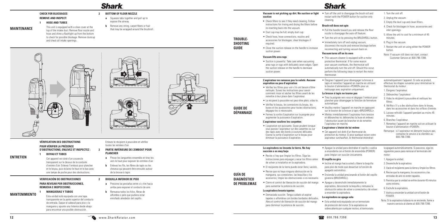**12** www.SharkRotator.com 800.798.7398 **13**

**CHECK FOR BLOCKAGES REMOVE AND INSPECT:**

### **1 HOSE AND TUBES** This unit is equipped with a clear cover at the top of the intake duct. Remove floor nozzle and hose and shine a flashlight up from the bottom to check for possible blockage. Remove dustcup

- **a** Squeeze tabs together and pull up to expose the airway.
- **b** Remove any string, carpet fibers or hair that may be wrapped around the brushroll.



 $\blacksquare$ 

# **2 BOTTOM OF FLOOR NOZZLE**

# **VÉRIFICATION DES OBSTRUCTIONS POUR VÉRIFIER LA PRÉSENCE D'OBSTRUCTIONS, ENLEVEZ ET INSPECTEZ :**

**1 BOYAU ET TUBES**

 Cet appareil est doté d'un couvercle transparent sur le dessus de la conduite d'entrée d'air. Enlevez l'embout pour plancher et le boyau, puis éclairez le haut et le bas avec une lampe de poche pour des obstructions.

Enlevez le récipient à poussière et vérifiez toutes les entrées d'air.

# **2 PARTIE INFÉRIEURE DE L'EMBOUT POUR PLANCHER a** Pincez les languettes ensemble et tirez-les

- vers le haut pour exposer les entrées d'air.
- **b** Enlevez les fils, les fibres de tapis ou les cheveux qui peuvent être enroulés autour de la brosse à tapis

# **2 BOQUILLA INFERIOR DE PISO<br><b>a** Presione las pestañas entre sí y tire hacia

- Dust cup may be full; empty dust cup.
- accessories for blockages; clear blockages if required.
- suction power.

# **VERIFICACIÓN DE OBSTRUCCIONES PARA REVISAR POR OBSTRUCCIONES, REMUEVA E INSPECCIONE:**

• Turn off the unit to disengage the brush roll and restart with the POWER button for suction only

# **1 MANGUERAS Y TUBOS**

 Esta unidad está equipada con una tapa transparente en la parte superior del conducto de entrada. Saque el cabezal para piso y la manguera y apunte una linterna desde abajo para encontrar una posible obstrucción.

- arriba para exponer el conducto de aire.
- **b** Remueva todos los hilos, fibras de alfombra o pelo que pudiera estar enrollado alrededor del cepillo.



# **Shark**

**MAINTENANCE**

# **ENTRETIEN**

**MANTENIMIENTO**

# **Shark**

# **Vacuum is not picking up dirt. No suction or light**

**suction**

### **Vacuum lifts area rugs**

- Incline el mango hacia usted y libere la boquilla para piso de modo que desactive la función de apagado automático.
- 
- 



cleaning.

**Brush roll does not spin**

- • Pull the handle toward you and release the floor nozzle to disengage the auto-off feature.
- Turn the unit on by pressing the BRUSHROLL button.
- Immediately turn off and unplug vacuum, disconnect the nozzle and remove blockage before reconnecting and turning vacuum back on.

### **Vacuum turns off on its own**

- Suction is powerful. Take care when vacuuming area rugs or rugs with delicately sewn edges. Open the suction release on the handle to decrease suction power.
- • Vérifiez les filtres pour voir s'ils ont besoin d'être nettoyés. Suivez les instructions pour savoir comment rincer et sécher les filtres avant de les remettre à leur place dans l'aspirateur.
- • Le récipient à poussière est peut-être plein; videz-le.
- buses et les accessoires pour toutes obstructions; dégagez-les si nécessaire.
- • Fermez la sortie d'aspiration sur la poignée pour augmenter la puissance d'aspiration.

thermostat:

• L'aspiration est puissante. Soyez prudent lorsque vous passez l'aspirateur sur des carpettes ou sur des tapis avec des bords à coutures délicates. Ouvrez la sortie d'aspiration sur le boyau pour diminuer la puissance d'aspiration.

- This vacuum cleaner is equipped with a motor protective thermostat. If for some reason your vacuum overheats, the thermostat will automatically turn the unit off. Should this occur, perform the following steps to restart the motor
- • Éteignez l'appareil pour désengager la brosse à tapis et remettez l'appareil en marche en utilisant le bouton d'alimentation «POWER» pour un nettoyage avec aspiration uniquement.
- 1. Turn the unit off.
- 2. Unplug the vacuum.
- 3. Empty the dust cup and clean filters.
- 4. Check for blockages in hose, accessories and inlet openings.
- 5. Allow the unit to cool for a minimum of 45 minutes.
- 6. Plug in the vacuum.
- 7. Restart the unit on using either the POWER button.
- Note: If vacuum still does not start, contact Customer Service at: 800-798-7398.

# **La aspiradora no levanta la tierra. No hay**

# **succión o es muy baja**

- **•**  Revise si hay que limpiar los filtros. Siga las instrucciones para enjuagar y secar los filtros antes de volver a instalarlos en la aspiradora.
- • El recipiente de la tierra puede estar lleno; vacíelo.
- • Revise que no haya ninguna obstrucción en la accesorios; limpie las obstrucciones si es necesario.
- • Cierre el control de liberación de succión del mango para aumentar la potencia de succión .

- 
- 
- manguera, sus conexiones, las boquillas y los

# **La aspiradora levanta tapetes**

• Demasiada succión. Tenga cuidado al aspirar tapetes o alfombras con bordes bordados delicados. Abra el control de liberación de succión del mango para disminuir la potencia de succión.

- Check filters to see if they need cleaning. Follow instructions for rinsing and drying the filters before re-inserting back into the vacuum.
- 
- Check hose, hose connections, nozzles and
- Close the suction release on the handle to increase

# **El cepillo no gira**

- • Encienda la unidad presionando el botón del cepillo giratorio (BRUSHROLL).
- • Apague y desenchufe inmediatamente la aspiradora, desconecte la boquilla y remueva la obstrucción antes de volver a conectarla y de volver a encender la aspiradora.

### **La aspiradora se apaga sola**

**•**  Esta unidad está equipada con un termostato de protección del motor. Si la aspiradora se sobrecalienta por cualquier motivo, el termostato la apagará automáticamente. Si pasa eso, siga los siguientes pasos para reiniciar el termostato del motor:

- 1. Apague la unidad.
- 2. Desenchufe la aspiradora.
- 3. Vacíe el recipiente para la tierra y limpie los filtros.
- 4. Revise que la manguera, los accesorios y las entradas de aire no estén tapados.
- 5. Permita que la unidad se enfríe durante 45 minutos como mínimo.
- 6. Enchufe la aspiradora.
- 7. Vuelva a encender la unidad con el botón de POWER.
- Nota: Si la aspiradora todavía no se enciende, llame a nuestro servicio al cliente al: 800-798-7398.

### **L'aspirateur ne ramasse pas la saleté. Aucune aspiration ou peu d'aspiration**

- • Cet appareil est doté d'un thermostat de protection du moteur. Si pour quelque raison votre aspirateur surchauffait, le thermostat éteindrait
- Apague la unidad para destrabar el cepillo y vuelva a encenderla con el botón de encendido (POWER) para limpiar con succión únicamente.

- 
- • Vérifiez le boyau, les connexions du boyau, les
	-

### **L'aspirateur soulève les carpettes**

### **La brosse à tapis ne tourne pas**

- • Tirez la poignée vers vous et dégagez l'embout pour plancher pour désengager la fonction de fermeture automatique.
- • Veuillez mettre l'appareil en marche en appuyant sur le bouton de la brosse à tapis «BRUSHROLL».
- Mettez immédiatement l'aspirateur hors tension et débranchez-le; débranchez la buse et enlevez l'obstruction avant de brancher et de remettre l'aspirateur en marche.

### **L'aspirateur s'éteint de lui-même**

automatiquement l'appareil. Si cela se produit, effectuez les étapes suivantes pour réinitialiser le thermostat du moteur :

- 1. Éteignez l'aspirateur.
- 2. Débranchez l'aspirateur.
- 3. Videz le récipient à poussière et nettoyez les filtres.
- 4. Vérifiez s'il y a des obstructions dans le boyau, dans les accessoires et dans les orifices d'entrée.
- 5. Laissez refroidir l'appareil pendant au moins 45 minutes.
- 6. Branchez l'aspirateur.
- 7. Remettez l'appareil en marche soit en utilisant le bouton d'alimentation «POWER».
- Remarque : si l'aspirateur ne démarre toujours pas, contactez le service à la clientèle au : 800-798-7398.

**TROUBLE-SHOOTING GUIDE**







# **DE PROBLEMAS**

**GUIDE DE DÉPANNAGE**

![](_page_6_Picture_45.jpeg)

![](_page_6_Picture_52.jpeg)

**b**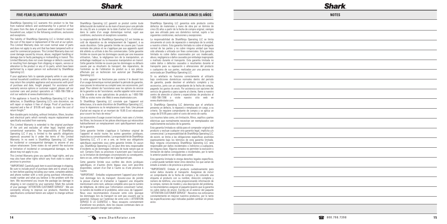SharkNinja Operating LLC warrants this product to be free from material defects and workmanship for a period of five (5) years from the date of purchase when utilized for normal household use, subject to the following conditions, exclusions and exceptions.

The liability of SharkNinja Operating LLC is limited solely to the cost of the repair or replacement of the unit at our option. This Limited Warranty does not cover normal wear of parts and does not apply to any unit that has been tampered with or used for commercial purposes. This Limited Warranty does not cover damage caused by misuse, abuse, negligent handling or damage due to faulty packaging or mishandling in transit. This Limited Warranty does not cover damage or defects caused by or resulting from damages from shipping or repairs, service or alteration to the product or any of its parts, which have been performed by a repair person not authorized by SharkNinja Operating LLC.

If your appliance fails to operate properly while in use under normal household conditions within the warranty period, you may return the complete appliance and accessories with proof of purchase and date, freight prepaid. For assistance with warranty service options or customer support, please call our customer care and product specialists at 1-800-798-7398 or visit our website at www.sharkrotator.com.

If the appliance is found by SharkNinja Operating LLC to be defective, in SharkNinia Operating LLC's sole discretion, we will repair or replace it free of charge. Proof of purchase is required and a fee of \$19.95 will apply to cover the cost of return freight.\*

Non-durable parts including, without limitation, filters, brushes and electrical parts which normally require replacement are specifically excluded from warranty.

This Limited Warranty is extended to the original purchaser of the unit and excludes all other legal, implied and/or conventional warranties. The responsibility of SharkNinja Operating LLC if any, is limited to the specific obligations expressly assumed by it under the terms of this Limited Warranty. In no event is SharkNinja Operating LLC liable for incidental or consequential damages to anyone of any nature whatsoever. Some states do not permit the exclusion or limitation of incidental or consequential damages, so the above may not apply to you.

This Limited Warranty gives you specific legal rights, and you may also have other rights which vary from state to state or province to province.

\*IMPORTANT: Carefully pack item to avoid damage in shipping. Be sure to include proof of purchase date and to attach a tag to item before packing including your name, complete address and phone number with a note giving purchase information, model number and what you believe is the problem with the item. We recommend you insure the package (as damage in shipping is not covered by your warranty). Mark the outside of your package "ATTENTION CUSTOMER SERVICE". We are constantly striving to improve our products, therefore the specifications contained herein are subject to change without notice.

Cette garantie limitée vous confère des droits juridiques spécifiques, et d'autres droits légaux vous sont peut-être disponibles, variant d'un État à l'autre ou d'une province à l'autre.

SharkNinja Operating LLC garantit ce produit contre toute défectuosité de matériel ou de main-d'œuvre pour une période de cinq (5) ans à compter de la date d'achat lors d'utilisation dans le cadre d'un usage domestique normal, sujet aux conditions, exclusions et exceptions suivantes.

La responsabilité de SharkNinja Operating LLC est limitée au coût de réparation ou de remplacement de l'appareil, à sa seule discrétion. Cette garantie limitée ne couvre pas l'usure normale des pièces et ne s'applique pas aux appareils ayant été altérés ou utilisés à des fins commerciales. Cette garantie limitée ne couvre pas les dommages causés par une mauvaise utilisation, l'abus, la négligence lors de la manipulation, un emballage inadéquat ou la mauvaise manipulation en transit. Cette garantie limitée ne couvre pas les dommages ou défauts causés par ou résultants du transport, des réparations, de l'entretien ou de l'altération du produit ou à ses pièces, effectués par un technicien non autorisé par SharkNinja Operating LLC.

Si votre appareil ne fonctionne pas comme il le devrait lors d'un usage domestique normal pendant la période de garantie, vous pouvez le retourner au complet avec ses accessoires, port payé. Pour obtenir de l'assistance avec les options du service de la garantie ou de l'assistance, veuillez appeler notre service à la clientèle et nos spécialistes de produits au 1-800-798- 7398 ou visitez notre site Web à www.sharkrotator.com.

Si SharkNinja Operating LLC constate que l'appareil est défectueux, à la seule discrétion de SharkNinja Operating LLC, nous le réparerons ou le remplacerons sans frais. Une preuve d'achat est requise et un montant de 19,95 \$ est nécessaire pour couvrir les frais de retour.\*

Les accessoires d'usage courant incluant, mais sans s'y limiter, les filtres, les brosses et les pièces électriques qui nécessitent habituellement un remplacement sont spécifiquement exclus de la garantie.

Cette garantie limitée s'applique à l'acheteur original de l'appareil et exclut toutes les autres garanties juridiques, implicites ou conventionnelles. La responsabilité de SharkNinja Operating LLC, s'il y en a une, se limite aux obligations spécifiques exprimées sous cette garantie limitée. En aucun cas, SharkNinja Operating LLC ne peut être tenu responsable d'incidents ou de dommages indirects de toute nature que ce soit. Certains États ou provinces n'autorisent pas l'exclusion ou la limitation de dommages circonstanciels ou conséquents, dans ce cas, cette disposition ne s'appliquerait pas.

\*IMPORTANT : Emballez soigneusement l'appareil pour éviter tout dommage lors du transport. Assurez-vous de joindre la preuve d'achat et d'attacher à l'appareil une étiquette mentionnant votre nom, adresse complète ainsi que le numéro de téléphone, de même que l'information concernant l'achat, le numéro de modèle et le problème, selon vous, de l'appareil. Nous vous recommandons d'assurer votre colis (puisque les dommages lors du transport ne sont pas couverts par la garantie). Indiquez sur l'extérieur de votre colis « ATTENTION SERVICE À LA CLIENTÈLE ». Nous essayons constamment d'améliorer nos produits, donc les clauses contenues dans ce document peuvent changer sans préavis.

SharkNinja Operating LLC garantiza este producto contra defectos de materiales y mano de obra por un término de cinco (5) años a partir de la fecha de compra original, siempre que sea utilizado para uso doméstico normal, sujeto a las siguientes condiciones, exclusiones y excepciones.

La responsabilidad de SharkNinja Operating LLC se limita únicamente al costo de reparación o reemplazo de la unidad, a nuestro criterio. Esta garantía limitada no cubre el desgaste normal de las partes y no cubre ninguna unidad que haya sido alterada o utilizada con fines comerciales. Esta garantía limitada no cubre daños ocasionados por uso inadecuado, abuso, negligencia o daños causados por embalaje inapropiado o maltrato durante el transporte. Esta garantía limitada no cubre daños o defectos causados o resultantes durante el transporte para su reparación o alteraciones del producto o cualquiera de sus partes, realizadas por una persona no autorizada por SharkNinja Operating LLC.

Si su artefacto no funciona correctamente al utilizarlo bajo condiciones domésticas normales dentro del período de garantía, puede devolver el artefacto completo y los accesorios, junto con un comprobante de la fecha de compra, pagando los gastos de envío. Por asistencia con opciones del servicio de garantía o para soporte al cliente, llame a nuestro centro de atención al cliente y especialistas de productos al 1-800-798-7398 o visite nuestro sitio web en www.sharkrotator.com.

Si SharkNinja Operating LLC determina que el artefacto presenta un defecto, lo reparará o remplazará sin cargo, a su criterio. Se requiere comprobante de compra y se aplica un cargo de \$19.95 para cubrir el costo del envío de vuelta.

Los insumos tales como, sin limitación, filtros, cepillos y partes eléctricas que normalmente necesitan ser reemplazados son explícitamente excluidos de la garantía.

Esta garantía limitada es válida para el comprador original del producto y excluye cualquier otra garantía legal, implícita y/o convencional. La responsabilidad de SharkNinja Operating LLC, de existir, se limita a las obligaciones específicas asumidas expresamente bajo los términos de esta garantía limitada. Bajo ninguna circunstancia SharkNinja Operating LLC será responsable por daños incidentales o indirectos a cualquiera, de ninguna clase. Algunos estados no permiten la exclusión o limitación de daños consiguientes o incidentales, por lo tanto lo anterior puede no ser válido para usted.

Esta garantía limitada le otorga derechos legales específicos, y usted puede también tener otros derechos los que varían de estado a estado o de provincia a provincia.

\*IMPORTANTE: Embale el producto cuidadosamente para evitar daños durante el transporte. Asegúrese de incluir un comprobante de la fecha de compra y de colocarle una etiqueta al producto con su nombre, dirección completa y número de teléfono, una nota proporcionando información de la compra, número de modelo y una descripción del problema. Le recomendamos asegurar el paquete (puesto que la garantía no cubre daños de envío). Escriba en el exterior del paquete "ATTENTION CUSTOMER SERVICE". Nosotros nos esforzamos constantemente en mejorar nuestros productos, por lo tanto las especificaciones aquí indicadas pueden cambiar sin previo aviso.

# **FIVE-YEAR (5) LIMITED WARRANTY GARANTÍA LIMITADA DE CINCO (5) AÑOS NOTES**

Shark